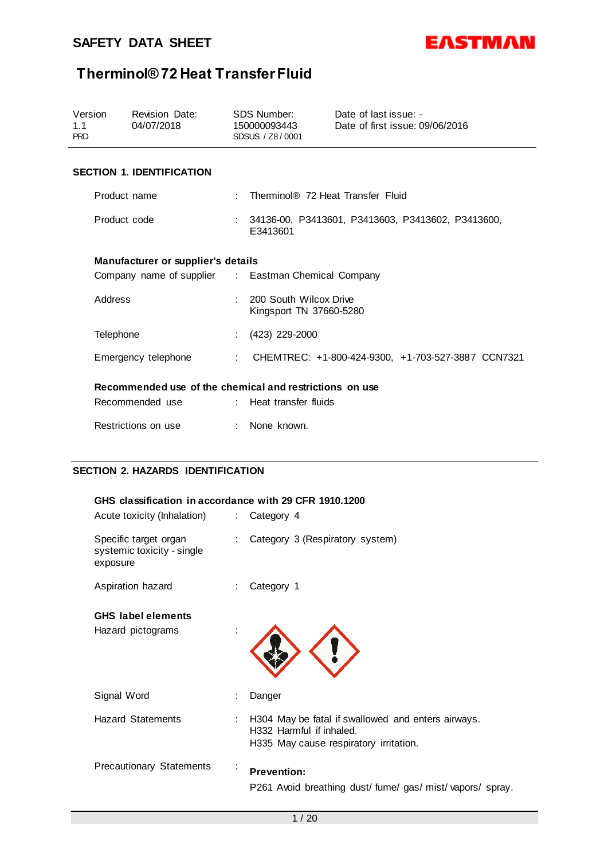

| Version<br>1.1<br><b>PRD</b>                            |                                        | Revision Date:<br>04/07/2018       |                                                               | SDS Number:<br>150000093443<br>SDSUS / Z8/0001      | Date of last issue: -<br>Date of first issue: 09/06/2016 |  |
|---------------------------------------------------------|----------------------------------------|------------------------------------|---------------------------------------------------------------|-----------------------------------------------------|----------------------------------------------------------|--|
|                                                         |                                        | <b>SECTION 1. IDENTIFICATION</b>   |                                                               |                                                     |                                                          |  |
|                                                         | Product name                           |                                    | $\gamma$                                                      | Therminol® 72 Heat Transfer Fluid                   |                                                          |  |
| Product code                                            |                                        |                                    | 34136-00, P3413601, P3413603, P3413602, P3413600,<br>E3413601 |                                                     |                                                          |  |
|                                                         |                                        | Manufacturer or supplier's details |                                                               |                                                     |                                                          |  |
|                                                         |                                        |                                    |                                                               | Company name of supplier : Eastman Chemical Company |                                                          |  |
| Address                                                 |                                        |                                    |                                                               | 200 South Wilcox Drive<br>Kingsport TN 37660-5280   |                                                          |  |
|                                                         | Telephone                              |                                    |                                                               | (423) 229-2000                                      |                                                          |  |
|                                                         |                                        | Emergency telephone                | ÷                                                             | CHEMTREC: +1-800-424-9300. +1-703-527-3887 CCN7321  |                                                          |  |
| Recommended use of the chemical and restrictions on use |                                        |                                    |                                                               |                                                     |                                                          |  |
|                                                         | Recommended use : Heat transfer fluids |                                    |                                                               |                                                     |                                                          |  |
| Restrictions on use                                     |                                        |                                    | : None known.                                                 |                                                     |                                                          |  |

### **SECTION 2. HAZARDS IDENTIFICATION**

| GHS classification in accordance with 29 CFR 1910.1200<br>Acute toxicity (Inhalation) | $\mathcal{L}^{\text{max}}$ | Category 4                                                                                                               |
|---------------------------------------------------------------------------------------|----------------------------|--------------------------------------------------------------------------------------------------------------------------|
| Specific target organ<br>systemic toxicity - single<br>exposure                       |                            | Category 3 (Respiratory system)                                                                                          |
| Aspiration hazard                                                                     |                            | Category 1                                                                                                               |
| <b>GHS</b> label elements                                                             |                            |                                                                                                                          |
| Hazard pictograms                                                                     |                            |                                                                                                                          |
| Signal Word                                                                           | Danger                     |                                                                                                                          |
| <b>Hazard Statements</b><br>÷                                                         |                            | H304 May be fatal if swallowed and enters airways.<br>H332 Harmful if inhaled.<br>H335 May cause respiratory irritation. |
| <b>Precautionary Statements</b>                                                       |                            | <b>Prevention:</b><br>P261 Avoid breathing dust/fume/gas/mist/vapors/spray.                                              |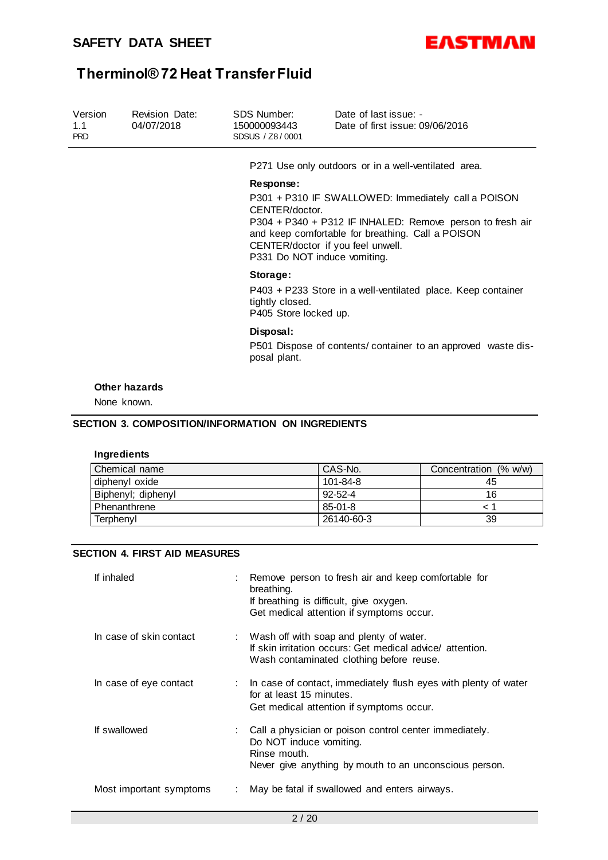

| Version<br>1.1<br><b>PRD</b> | <b>Revision Date:</b><br>04/07/2018 | SDS Number:<br>150000093443<br>SDSUS / Z8/0001                                                                                                                                                                                                               | Date of last issue: -<br>Date of first issue: 09/06/2016                              |                       |  |  |  |  |
|------------------------------|-------------------------------------|--------------------------------------------------------------------------------------------------------------------------------------------------------------------------------------------------------------------------------------------------------------|---------------------------------------------------------------------------------------|-----------------------|--|--|--|--|
|                              |                                     |                                                                                                                                                                                                                                                              | P271 Use only outdoors or in a well-ventilated area.                                  |                       |  |  |  |  |
|                              |                                     | Response:                                                                                                                                                                                                                                                    |                                                                                       |                       |  |  |  |  |
|                              |                                     | P301 + P310 IF SWALLOWED: Immediately call a POISON<br>CENTER/doctor.<br>P304 + P340 + P312 IF INHALED: Remove person to fresh air<br>and keep comfortable for breathing. Call a POISON<br>CENTER/doctor if you feel unwell.<br>P331 Do NOT induce vomiting. |                                                                                       |                       |  |  |  |  |
|                              |                                     | Storage:                                                                                                                                                                                                                                                     |                                                                                       |                       |  |  |  |  |
|                              |                                     | tightly closed.                                                                                                                                                                                                                                              | P403 + P233 Store in a well-ventilated place. Keep container<br>P405 Store locked up. |                       |  |  |  |  |
|                              |                                     | Disposal:                                                                                                                                                                                                                                                    |                                                                                       |                       |  |  |  |  |
|                              |                                     | posal plant.                                                                                                                                                                                                                                                 | P501 Dispose of contents/ container to an approved waste dis-                         |                       |  |  |  |  |
|                              | <b>Other hazards</b>                |                                                                                                                                                                                                                                                              |                                                                                       |                       |  |  |  |  |
|                              | None known.                         |                                                                                                                                                                                                                                                              |                                                                                       |                       |  |  |  |  |
|                              | Ingredients                         | <b>SECTION 3. COMPOSITION/INFORMATION ON INGREDIENTS</b>                                                                                                                                                                                                     |                                                                                       |                       |  |  |  |  |
|                              | Chemical name                       |                                                                                                                                                                                                                                                              | CAS-No.                                                                               | Concentration (% w/w) |  |  |  |  |
|                              | diphenyl oxide                      |                                                                                                                                                                                                                                                              | 101-84-8                                                                              | 45                    |  |  |  |  |
|                              | Biphenyl; diphenyl                  |                                                                                                                                                                                                                                                              | $92 - 52 - 4$                                                                         | 16                    |  |  |  |  |
|                              | Phenanthrene                        |                                                                                                                                                                                                                                                              | $85 - 01 - 8$                                                                         | < 1                   |  |  |  |  |

### **SECTION 4. FIRST AID MEASURES**

| If inhaled              | : Remove person to fresh air and keep comfortable for<br>breathing.<br>If breathing is difficult, give oxygen.<br>Get medical attention if symptoms occur.    |
|-------------------------|---------------------------------------------------------------------------------------------------------------------------------------------------------------|
| In case of skin contact | : Wash off with soap and plenty of water.<br>If skin irritation occurs: Get medical advice/ attention.<br>Wash contaminated clothing before reuse.            |
| In case of eye contact  | : In case of contact, immediately flush eyes with plenty of water<br>for at least 15 minutes.<br>Get medical attention if symptoms occur.                     |
| If swallowed            | : Call a physician or poison control center immediately.<br>Do NOT induce vomiting.<br>Rinse mouth.<br>Never give anything by mouth to an unconscious person. |
| Most important symptoms | May be fatal if swallowed and enters airways.                                                                                                                 |

Terphenyl 26140-60-3 39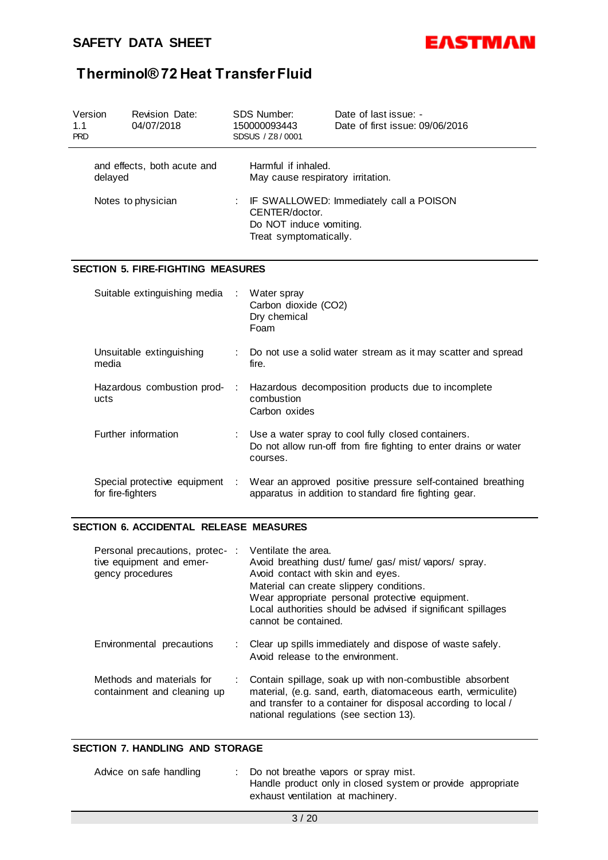

| Version<br>1.1<br><b>PRD</b>           |                              | Revision Date:<br>04/07/2018             |                                                                                                                | <b>SDS Number:</b><br>150000093443<br>SDSUS / Z8/0001                                                                | Date of last issue: -<br>Date of first issue: 09/06/2016                                                               |  |
|----------------------------------------|------------------------------|------------------------------------------|----------------------------------------------------------------------------------------------------------------|----------------------------------------------------------------------------------------------------------------------|------------------------------------------------------------------------------------------------------------------------|--|
| and effects, both acute and<br>delayed |                              |                                          | Harmful if inhaled.<br>May cause respiratory irritation.                                                       |                                                                                                                      |                                                                                                                        |  |
| Notes to physician                     |                              |                                          | IF SWALLOWED: Immediately call a POISON<br>CENTER/doctor.<br>Do NOT induce vomiting.<br>Treat symptomatically. |                                                                                                                      |                                                                                                                        |  |
|                                        |                              | <b>SECTION 5. FIRE-FIGHTING MEASURES</b> |                                                                                                                |                                                                                                                      |                                                                                                                        |  |
|                                        | Suitable extinguishing media |                                          | ÷                                                                                                              | Water spray<br>Carbon dioxide (CO2)<br>Dry chemical<br>Foam                                                          |                                                                                                                        |  |
|                                        | media                        | Unsuitable extinguishing                 |                                                                                                                | fire.                                                                                                                | Do not use a solid water stream as it may scatter and spread                                                           |  |
|                                        | ucts                         | Hazardous combustion prod-               | ÷                                                                                                              | Hazardous decomposition products due to incomplete<br>combustion<br>Carbon oxides                                    |                                                                                                                        |  |
|                                        |                              | Further information                      |                                                                                                                | courses.                                                                                                             | Use a water spray to cool fully closed containers.<br>Do not allow run-off from fire fighting to enter drains or water |  |
|                                        | for fire-fighters            | Special protective equipment :           |                                                                                                                | Wear an approved positive pressure self-contained breathing<br>apparatus in addition to standard fire fighting gear. |                                                                                                                        |  |

### **SECTION 6. ACCIDENTAL RELEASE MEASURES**

| Personal precautions, protec-<br>tive equipment and emer-<br>gency procedures | Ventilate the area.<br>Avoid breathing dust/ fume/ gas/ mist/ vapors/ spray.<br>Avoid contact with skin and eyes.<br>Material can create slippery conditions.<br>Wear appropriate personal protective equipment.<br>Local authorities should be advised if significant spillages<br>cannot be contained. |
|-------------------------------------------------------------------------------|----------------------------------------------------------------------------------------------------------------------------------------------------------------------------------------------------------------------------------------------------------------------------------------------------------|
| Environmental precautions                                                     | Clear up spills immediately and dispose of waste safely.<br>Avoid release to the environment.                                                                                                                                                                                                            |
| Methods and materials for<br>containment and cleaning up                      | Contain spillage, soak up with non-combustible absorbent<br>material, (e.g. sand, earth, diatomaceous earth, vermiculite)<br>and transfer to a container for disposal according to local /<br>national regulations (see section 13).                                                                     |

### **SECTION 7. HANDLING AND STORAGE**

| Advice on safe handling | : Do not breathe vapors or spray mist.                      |
|-------------------------|-------------------------------------------------------------|
|                         | Handle product only in closed system or provide appropriate |
|                         | exhaust ventilation at machinery.                           |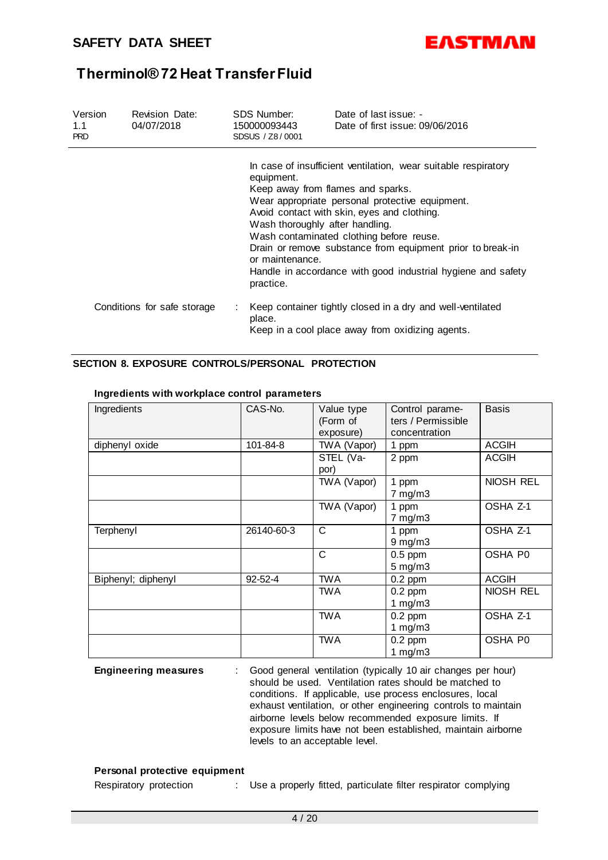

| Version<br>1.1<br><b>PRD</b> | <b>Revision Date:</b><br>04/07/2018 | <b>SDS Number:</b><br>150000093443<br>SDSUS / Z8/0001 | Date of last issue: -<br>Date of first issue: 09/06/2016                                                                                                                                                                                                                                                                                                                                                           |
|------------------------------|-------------------------------------|-------------------------------------------------------|--------------------------------------------------------------------------------------------------------------------------------------------------------------------------------------------------------------------------------------------------------------------------------------------------------------------------------------------------------------------------------------------------------------------|
|                              |                                     | equipment.<br>or maintenance.<br>practice.            | In case of insufficient ventilation, wear suitable respiratory<br>Keep away from flames and sparks.<br>Wear appropriate personal protective equipment.<br>Avoid contact with skin, eyes and clothing.<br>Wash thoroughly after handling.<br>Wash contaminated clothing before reuse.<br>Drain or remove substance from equipment prior to break-in<br>Handle in accordance with good industrial hygiene and safety |
|                              | Conditions for safe storage         | ÷<br>place.                                           | Keep container tightly closed in a dry and well-ventilated<br>Keep in a cool place away from oxidizing agents.                                                                                                                                                                                                                                                                                                     |

### **SECTION 8. EXPOSURE CONTROLS/PERSONAL PROTECTION**

| Ingredients        | CAS-No.       | Value type<br>(Form of<br>exposure) | Control parame-<br>ters / Permissible<br>concentration | <b>Basis</b> |
|--------------------|---------------|-------------------------------------|--------------------------------------------------------|--------------|
| diphenyl oxide     | 101-84-8      | TWA (Vapor)                         | 1 ppm                                                  | ACGIH        |
|                    |               | STEL (Va-<br>por)                   | 2 ppm                                                  | <b>ACGIH</b> |
|                    |               | TWA (Vapor)                         | 1 ppm<br>$7$ mg/m $3$                                  | NIOSH REL    |
|                    |               | TWA (Vapor)                         | 1 ppm<br>$7 \text{ mg/m}$ 3                            | OSHA Z-1     |
| Terphenyl          | 26140-60-3    | $\mathsf{C}$                        | 1 ppm<br>$9$ mg/m $3$                                  | OSHA Z-1     |
|                    |               | C                                   | $0.5$ ppm<br>$5$ mg/m $3$                              | OSHA P0      |
| Biphenyl; diphenyl | $92 - 52 - 4$ | <b>TWA</b>                          | $0.2$ ppm                                              | <b>ACGIH</b> |
|                    |               | <b>TWA</b>                          | $0.2$ ppm<br>1 $mg/m3$                                 | NIOSH REL    |
|                    |               | <b>TWA</b>                          | $0.2$ ppm<br>1 mg/m $3$                                | OSHA Z-1     |
|                    |               | <b>TWA</b>                          | $0.2$ ppm<br>1 mg/m $3$                                | OSHA P0      |

#### **Ingredients with workplace control parameters**

**Engineering measures** : Good general ventilation (typically 10 air changes per hour) should be used. Ventilation rates should be matched to conditions. If applicable, use process enclosures, local exhaust ventilation, or other engineering controls to maintain airborne levels below recommended exposure limits. If exposure limits have not been established, maintain airborne levels to an acceptable level.

#### **Personal protective equipment**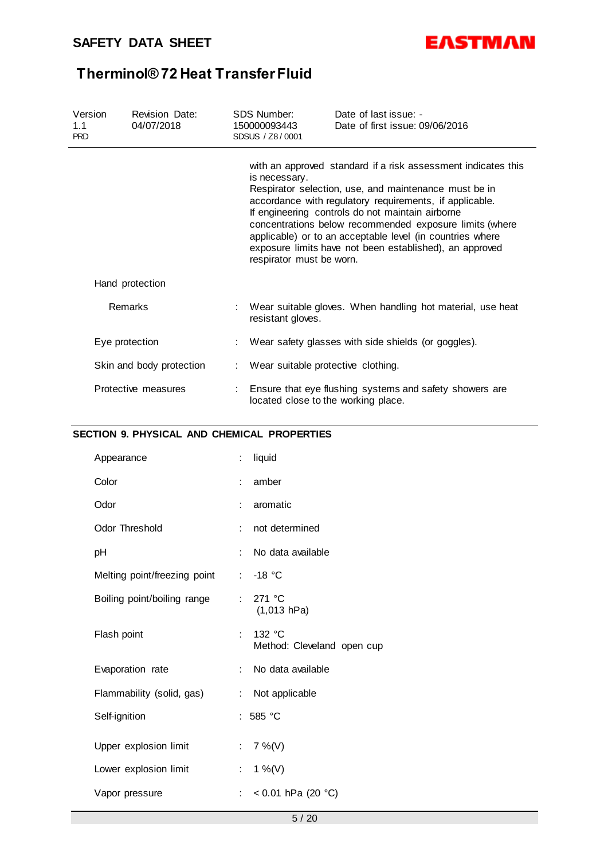

| Version<br>1.1<br><b>PRD</b> | <b>Revision Date:</b><br>04/07/2018 | SDS Number:<br>150000093443<br>SDSUS / Z8/0001 | Date of last issue: -<br>Date of first issue: 09/06/2016                                                                                                                                                                                                                                                                                                                                                                 |
|------------------------------|-------------------------------------|------------------------------------------------|--------------------------------------------------------------------------------------------------------------------------------------------------------------------------------------------------------------------------------------------------------------------------------------------------------------------------------------------------------------------------------------------------------------------------|
|                              |                                     | is necessary.<br>respirator must be worn.      | with an approved standard if a risk assessment indicates this<br>Respirator selection, use, and maintenance must be in<br>accordance with regulatory requirements, if applicable.<br>If engineering controls do not maintain airborne<br>concentrations below recommended exposure limits (where<br>applicable) or to an acceptable level (in countries where<br>exposure limits have not been established), an approved |
|                              | Hand protection                     |                                                |                                                                                                                                                                                                                                                                                                                                                                                                                          |
|                              | Remarks                             | resistant gloves.                              | Wear suitable gloves. When handling hot material, use heat                                                                                                                                                                                                                                                                                                                                                               |
|                              | Eye protection                      |                                                | Wear safety glasses with side shields (or goggles).                                                                                                                                                                                                                                                                                                                                                                      |
|                              | Skin and body protection            | Wear suitable protective clothing.             |                                                                                                                                                                                                                                                                                                                                                                                                                          |
|                              | Protective measures                 | located close to the working place.            | Ensure that eye flushing systems and safety showers are                                                                                                                                                                                                                                                                                                                                                                  |

### **SECTION 9. PHYSICAL AND CHEMICAL PROPERTIES**

| Appearance                   | ÷                         | liquid                                        |
|------------------------------|---------------------------|-----------------------------------------------|
| Color                        | ÷                         | amber                                         |
| Odor                         | ÷                         | aromatic                                      |
| <b>Odor Threshold</b>        | ÷                         | not determined                                |
| рH                           | ÷                         | No data available                             |
| Melting point/freezing point |                           | $: -18 °C$                                    |
| Boiling point/boiling range  | t.                        | 271 °C<br>(1,013 hPa)                         |
| Flash point                  | t.                        | 132 $\degree$ C<br>Method: Cleveland open cup |
| Evaporation rate             | t.                        | No data available                             |
| Flammability (solid, gas)    | ÷.                        | Not applicable                                |
| Self-ignition                |                           | : 585 $^{\circ}$ C                            |
| Upper explosion limit        | t.                        | $7\%$ (V)                                     |
| Lower explosion limit        | t.                        | 1 %(V)                                        |
| Vapor pressure               | $\mathbb{R}^{\mathbb{Z}}$ | < 0.01 hPa (20 $^{\circ}$ C)                  |
|                              |                           |                                               |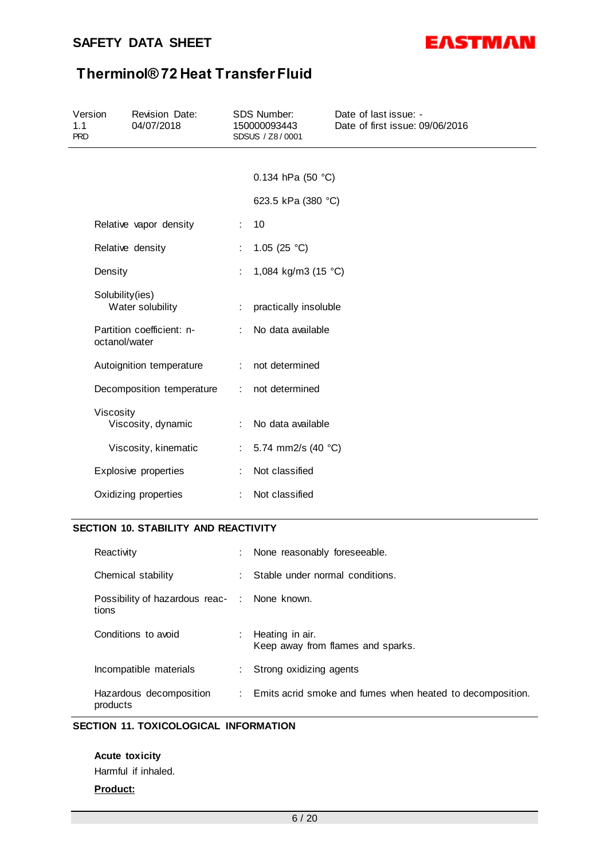

| Version<br>1.1<br><b>PRD</b> | Revision Date:<br>04/07/2018               |                  | <b>SDS Number:</b><br>150000093443<br>SDSUS / Z8/0001 | Date of last issue: -<br>Date of first issue: 09/06/2016 |  |  |  |
|------------------------------|--------------------------------------------|------------------|-------------------------------------------------------|----------------------------------------------------------|--|--|--|
|                              |                                            |                  |                                                       |                                                          |  |  |  |
|                              |                                            |                  | 0.134 hPa (50 °C)                                     |                                                          |  |  |  |
|                              |                                            |                  | 623.5 kPa (380 °C)                                    |                                                          |  |  |  |
|                              | Relative vapor density                     | ÷                | 10                                                    |                                                          |  |  |  |
|                              | Relative density                           |                  | 1.05 (25 $^{\circ}$ C)                                |                                                          |  |  |  |
|                              | Density                                    |                  | 1,084 kg/m3 (15 °C)                                   |                                                          |  |  |  |
|                              | Solubility(ies)<br>Water solubility        | ÷                | practically insoluble                                 |                                                          |  |  |  |
|                              | Partition coefficient: n-<br>octanol/water |                  | No data available                                     |                                                          |  |  |  |
|                              | Autoignition temperature                   |                  | : not determined                                      |                                                          |  |  |  |
|                              | Decomposition temperature                  | $\mathbb{R}^{n}$ | not determined                                        |                                                          |  |  |  |
|                              | Viscosity<br>Viscosity, dynamic            | t.               | No data available                                     |                                                          |  |  |  |
|                              | Viscosity, kinematic                       | ÷.               | 5.74 mm2/s (40 °C)                                    |                                                          |  |  |  |
|                              | Explosive properties                       |                  | Not classified                                        |                                                          |  |  |  |
|                              | Oxidizing properties                       | ÷                | Not classified                                        |                                                          |  |  |  |
|                              | SECTION 10. STABILITY AND REACTIVITY       |                  |                                                       |                                                          |  |  |  |
|                              | Reactivity                                 |                  | None reasonably foreseeable.                          |                                                          |  |  |  |

| <b>INGAULIVILY</b>                                    | . TVUIG IGASUILAULY IUIGSGGAUIG.                            |
|-------------------------------------------------------|-------------------------------------------------------------|
| Chemical stability                                    | Stable under normal conditions.                             |
| Possibility of hazardous reac- : None known.<br>tions |                                                             |
| Conditions to avoid                                   | : Heating in air.<br>Keep away from flames and sparks.      |
| Incompatible materials                                | : Strong oxidizing agents                                   |
| Hazardous decomposition<br>products                   | : Emits acrid smoke and fumes when heated to decomposition. |

### **SECTION 11. TOXICOLOGICAL INFORMATION**

**Acute toxicity** Harmful if inhaled.

### **Product:**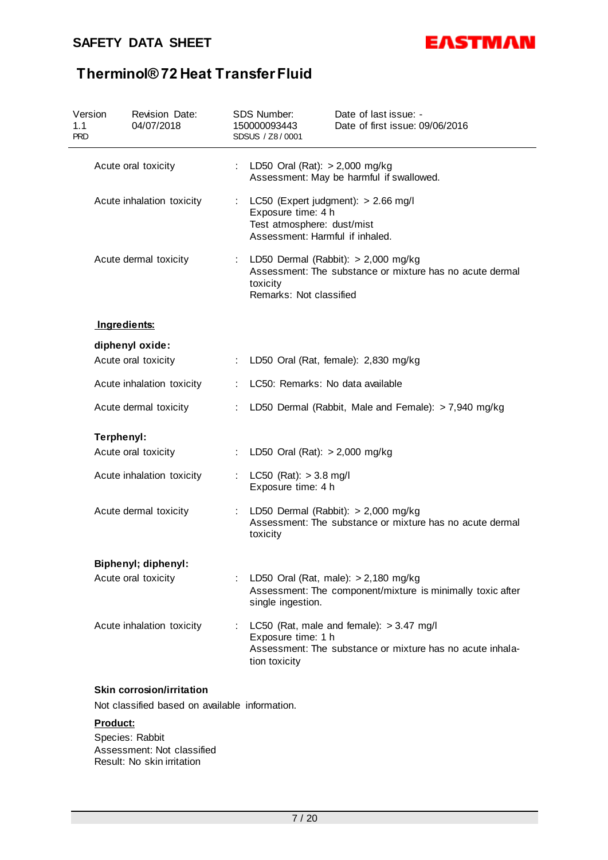### **SAFETY DATA SHEET**



# **Therminol® 72 Heat Transfer Fluid**

| Version<br>1.1<br><b>PRD</b> | Revision Date:<br>04/07/2018 | SDS Number:<br>Date of last issue: -<br>150000093443<br>Date of first issue: 09/06/2016<br>SDSUS / Z8/0001                                          |
|------------------------------|------------------------------|-----------------------------------------------------------------------------------------------------------------------------------------------------|
|                              | Acute oral toxicity          | LD50 Oral (Rat): $> 2,000$ mg/kg<br>Assessment: May be harmful if swallowed.                                                                        |
|                              | Acute inhalation toxicity    | LC50 (Expert judgment): > 2.66 mg/l<br>÷.<br>Exposure time: 4 h<br>Test atmosphere: dust/mist<br>Assessment: Harmful if inhaled.                    |
|                              | Acute dermal toxicity        | LD50 Dermal (Rabbit): $> 2,000$ mg/kg<br>Assessment: The substance or mixture has no acute dermal<br>toxicity<br>Remarks: Not classified            |
|                              | Ingredients:                 |                                                                                                                                                     |
|                              | diphenyl oxide:              |                                                                                                                                                     |
|                              | Acute oral toxicity          | LD50 Oral (Rat, female): 2,830 mg/kg<br>÷                                                                                                           |
|                              | Acute inhalation toxicity    | LC50: Remarks: No data available                                                                                                                    |
|                              | Acute dermal toxicity        | LD50 Dermal (Rabbit, Male and Female): > 7,940 mg/kg                                                                                                |
| Terphenyl:                   |                              |                                                                                                                                                     |
|                              | Acute oral toxicity          | LD50 Oral (Rat): $> 2,000$ mg/kg<br>÷                                                                                                               |
|                              | Acute inhalation toxicity    | LC50 (Rat): $> 3.8$ mg/l<br>Exposure time: 4 h                                                                                                      |
|                              | Acute dermal toxicity        | LD50 Dermal (Rabbit): $> 2,000$ mg/kg<br>Assessment: The substance or mixture has no acute dermal<br>toxicity                                       |
|                              | <b>Biphenyl; diphenyl:</b>   |                                                                                                                                                     |
|                              | Acute oral toxicity          | LD50 Oral (Rat, male): $> 2,180$ mg/kg<br>Assessment: The component/mixture is minimally toxic after<br>single ingestion.                           |
|                              | Acute inhalation toxicity    | LC50 (Rat, male and female): $> 3.47$ mg/l<br>÷<br>Exposure time: 1 h<br>Assessment: The substance or mixture has no acute inhala-<br>tion toxicity |

### **Product:**

Species: Rabbit Assessment: Not classified Result: No skin irritation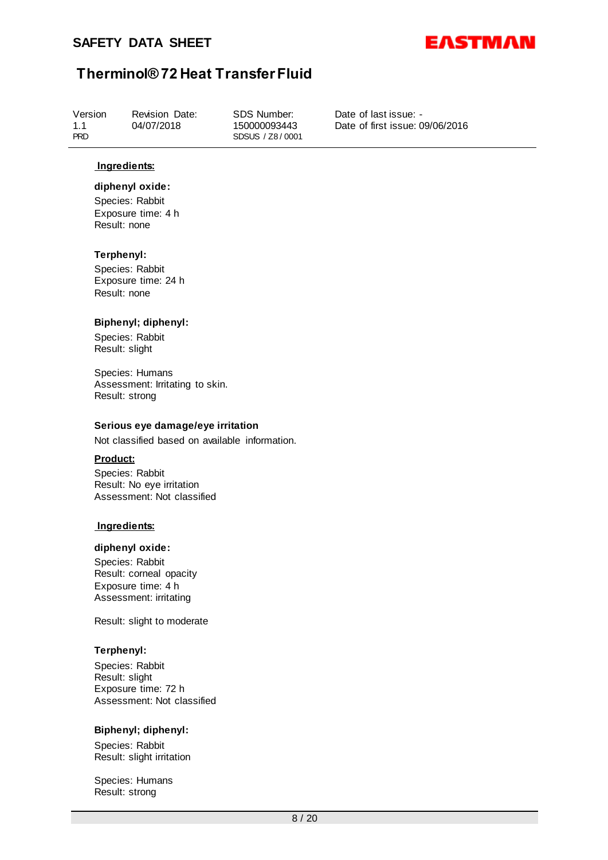

| Version<br>04/07/2018<br>1.1<br><b>PRD</b> | Revision Date: | SDS Number:<br>150000093443<br>SDSUS / Z8/0001 | Date of last issue: -<br>Date of first issue: 09/06/2016 |
|--------------------------------------------|----------------|------------------------------------------------|----------------------------------------------------------|
|--------------------------------------------|----------------|------------------------------------------------|----------------------------------------------------------|

#### **Ingredients:**

### **diphenyl oxide:**

Species: Rabbit Exposure time: 4 h Result: none

#### **Terphenyl:**

Species: Rabbit Exposure time: 24 h Result: none

#### **Biphenyl; diphenyl:**

Species: Rabbit Result: slight

Species: Humans Assessment: Irritating to skin. Result: strong

#### **Serious eye damage/eye irritation**

Not classified based on available information.

#### **Product:**

Species: Rabbit Result: No eye irritation Assessment: Not classified

#### **Ingredients:**

#### **diphenyl oxide:**

Species: Rabbit Result: corneal opacity Exposure time: 4 h Assessment: irritating

Result: slight to moderate

#### **Terphenyl:**

Species: Rabbit Result: slight Exposure time: 72 h Assessment: Not classified

#### **Biphenyl; diphenyl:**

Species: Rabbit Result: slight irritation

Species: Humans Result: strong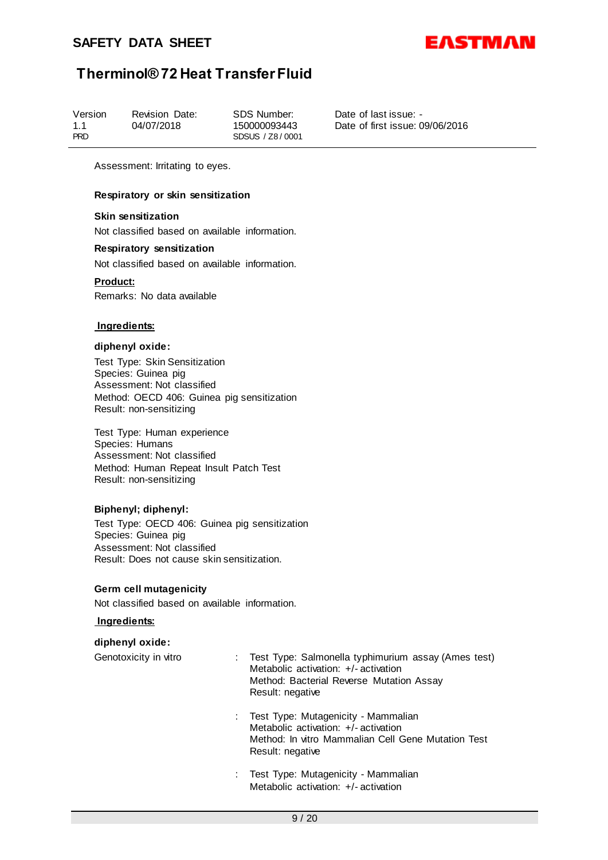

Assessment: Irritating to eyes.

#### **Respiratory or skin sensitization**

#### **Skin sensitization**

Not classified based on available information.

### **Respiratory sensitization**

Not classified based on available information.

#### **Product:**

Remarks: No data available

#### **Ingredients:**

#### **diphenyl oxide:**

Test Type: Skin Sensitization Species: Guinea pig Assessment: Not classified Method: OECD 406: Guinea pig sensitization Result: non-sensitizing

Test Type: Human experience Species: Humans Assessment: Not classified Method: Human Repeat Insult Patch Test Result: non-sensitizing

#### **Biphenyl; diphenyl:**

Test Type: OECD 406: Guinea pig sensitization Species: Guinea pig Assessment: Not classified Result: Does not cause skin sensitization.

#### **Germ cell mutagenicity**

Not classified based on available information.

### **Ingredients:**

#### **diphenyl oxide:**

| Genotoxicity in vitro | Test Type: Salmonella typhimurium assay (Ames test)<br>Metabolic activation: $+/-$ activation<br>Method: Bacterial Reverse Mutation Assay<br>Result: negative |
|-----------------------|---------------------------------------------------------------------------------------------------------------------------------------------------------------|
|                       | Test Type: Mutagenicity - Mammalian<br>Metabolic activation: $+/-$ activation                                                                                 |

- Method: In vitro Mammalian Cell Gene Mutation Test Result: negative
- : Test Type: Mutagenicity Mammalian Metabolic activation: +/- activation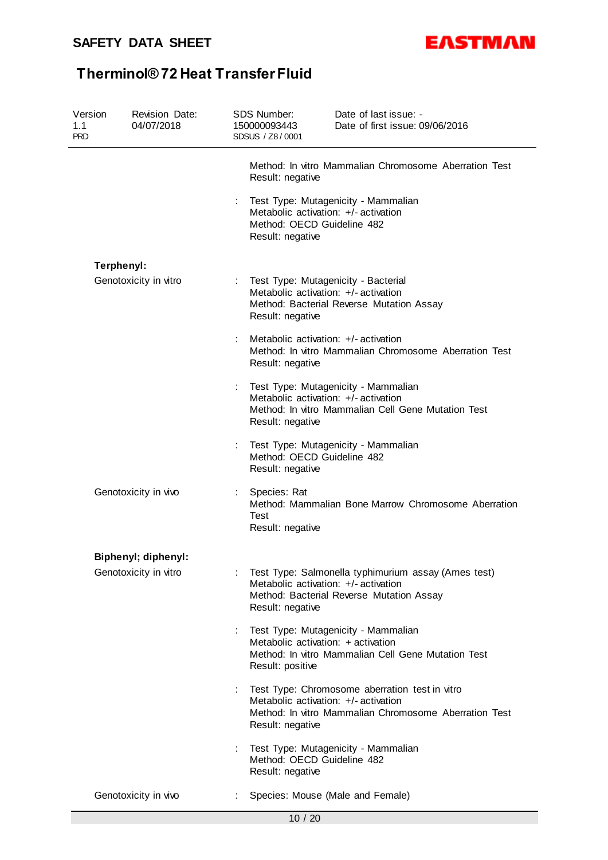

| Version<br>1.1<br><b>PRD</b> | Revision Date:<br>04/07/2018 | SDS Number:<br>150000093443<br>SDSUS / Z8/0001                                                                                | Date of last issue: -<br>Date of first issue: 09/06/2016                                                                                        |  |  |  |
|------------------------------|------------------------------|-------------------------------------------------------------------------------------------------------------------------------|-------------------------------------------------------------------------------------------------------------------------------------------------|--|--|--|
|                              |                              | Result: negative                                                                                                              | Method: In vitro Mammalian Chromosome Aberration Test                                                                                           |  |  |  |
|                              |                              | Test Type: Mutagenicity - Mammalian<br>Metabolic activation: +/- activation<br>Method: OECD Guideline 482<br>Result: negative |                                                                                                                                                 |  |  |  |
|                              | Terphenyl:                   |                                                                                                                               |                                                                                                                                                 |  |  |  |
|                              | Genotoxicity in vitro        | Result: negative                                                                                                              | Test Type: Mutagenicity - Bacterial<br>Metabolic activation: +/- activation<br>Method: Bacterial Reverse Mutation Assay                         |  |  |  |
|                              |                              | Result: negative                                                                                                              | Metabolic activation: +/- activation<br>Method: In vitro Mammalian Chromosome Aberration Test                                                   |  |  |  |
|                              |                              | Result: negative                                                                                                              | Test Type: Mutagenicity - Mammalian<br>Metabolic activation: +/- activation<br>Method: In vitro Mammalian Cell Gene Mutation Test               |  |  |  |
|                              |                              | Method: OECD Guideline 482<br>Result: negative                                                                                | Test Type: Mutagenicity - Mammalian                                                                                                             |  |  |  |
|                              | Genotoxicity in vivo         | Species: Rat<br>Test<br>Result: negative                                                                                      | Method: Mammalian Bone Marrow Chromosome Aberration                                                                                             |  |  |  |
|                              | Biphenyl; diphenyl:          |                                                                                                                               |                                                                                                                                                 |  |  |  |
|                              | Genotoxicity in vitro        | Result: negative                                                                                                              | Test Type: Salmonella typhimurium assay (Ames test)<br>Metabolic activation: +/- activation<br>Method: Bacterial Reverse Mutation Assay         |  |  |  |
|                              |                              | Result: positive                                                                                                              | Test Type: Mutagenicity - Mammalian<br>Metabolic activation: + activation<br>Method: In vitro Mammalian Cell Gene Mutation Test                 |  |  |  |
|                              |                              | Result: negative                                                                                                              | Test Type: Chromosome aberration test in vitro<br>Metabolic activation: +/- activation<br>Method: In vitro Mammalian Chromosome Aberration Test |  |  |  |
|                              |                              | Method: OECD Guideline 482<br>Result: negative                                                                                | Test Type: Mutagenicity - Mammalian                                                                                                             |  |  |  |
|                              | Genotoxicity in vivo         | ÷                                                                                                                             | Species: Mouse (Male and Female)                                                                                                                |  |  |  |
|                              |                              | 10 / 20                                                                                                                       |                                                                                                                                                 |  |  |  |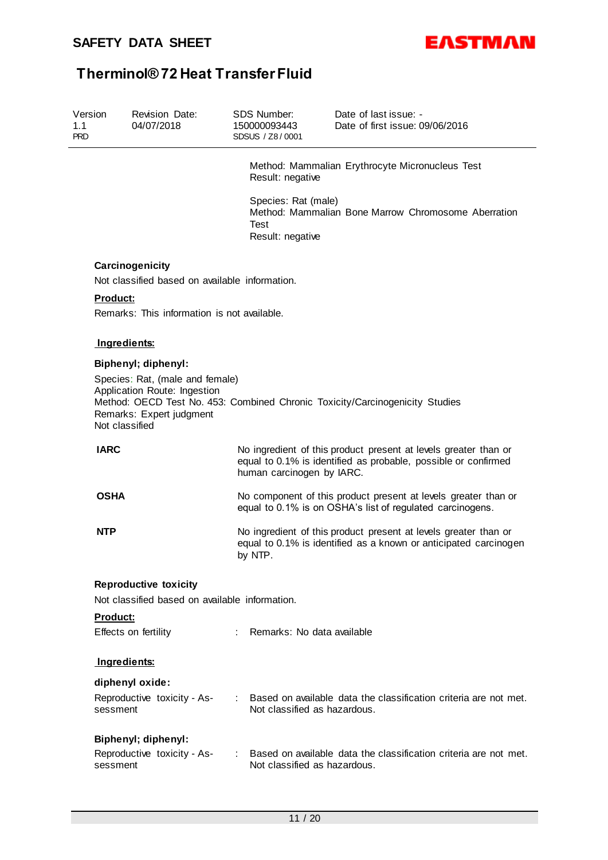

| Version<br>1.1<br><b>PRD</b> |                 | <b>Revision Date:</b><br>04/07/2018                                                         | SDS Number:<br>150000093443<br>SDSUS / Z8/0001  | Date of last issue: -<br>Date of first issue: 09/06/2016                                                                            |
|------------------------------|-----------------|---------------------------------------------------------------------------------------------|-------------------------------------------------|-------------------------------------------------------------------------------------------------------------------------------------|
|                              |                 |                                                                                             | Result: negative                                | Method: Mammalian Erythrocyte Micronucleus Test                                                                                     |
|                              |                 |                                                                                             | Species: Rat (male)<br>Test<br>Result: negative | Method: Mammalian Bone Marrow Chromosome Aberration                                                                                 |
|                              |                 | Carcinogenicity                                                                             |                                                 |                                                                                                                                     |
|                              |                 | Not classified based on available information.                                              |                                                 |                                                                                                                                     |
|                              | Product:        |                                                                                             |                                                 |                                                                                                                                     |
|                              |                 | Remarks: This information is not available.                                                 |                                                 |                                                                                                                                     |
|                              |                 |                                                                                             |                                                 |                                                                                                                                     |
|                              | Ingredients:    |                                                                                             |                                                 |                                                                                                                                     |
|                              |                 | Biphenyl; diphenyl:                                                                         |                                                 |                                                                                                                                     |
|                              | Not classified  | Species: Rat, (male and female)<br>Application Route: Ingestion<br>Remarks: Expert judgment |                                                 | Method: OECD Test No. 453: Combined Chronic Toxicity/Carcinogenicity Studies                                                        |
|                              | <b>IARC</b>     |                                                                                             | human carcinogen by IARC.                       | No ingredient of this product present at levels greater than or<br>equal to 0.1% is identified as probable, possible or confirmed   |
|                              | <b>OSHA</b>     |                                                                                             |                                                 | No component of this product present at levels greater than or<br>equal to 0.1% is on OSHA's list of regulated carcinogens.         |
|                              | <b>NTP</b>      |                                                                                             | by NTP.                                         | No ingredient of this product present at levels greater than or<br>equal to 0.1% is identified as a known or anticipated carcinogen |
|                              |                 |                                                                                             |                                                 |                                                                                                                                     |
|                              |                 | <b>Reproductive toxicity</b><br>Not classified based on available information.              |                                                 |                                                                                                                                     |
|                              | <b>Product:</b> |                                                                                             |                                                 |                                                                                                                                     |
|                              |                 | Effects on fertility                                                                        | : Remarks: No data available                    |                                                                                                                                     |
|                              | Ingredients:    |                                                                                             |                                                 |                                                                                                                                     |
|                              |                 | diphenyl oxide:                                                                             |                                                 |                                                                                                                                     |
|                              | sessment        | Reproductive toxicity - As-                                                                 | Not classified as hazardous.                    | : Based on available data the classification criteria are not met.                                                                  |
|                              |                 | <b>Biphenyl</b> ; diphenyl:                                                                 |                                                 |                                                                                                                                     |
|                              | sessment        | Reproductive toxicity - As-                                                                 | Not classified as hazardous.                    | Based on available data the classification criteria are not met.                                                                    |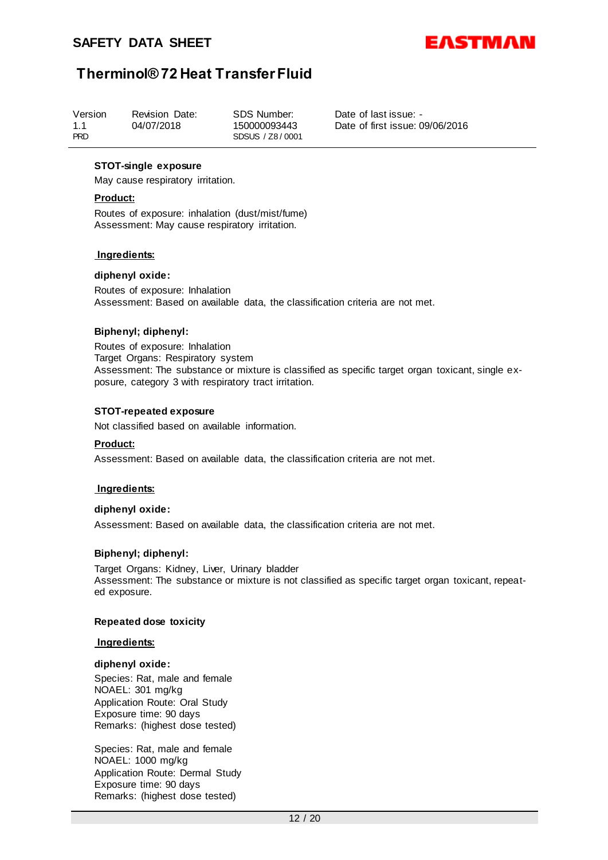

#### **STOT-single exposure**

May cause respiratory irritation.

#### **Product:**

Routes of exposure: inhalation (dust/mist/fume) Assessment: May cause respiratory irritation.

#### **Ingredients:**

#### **diphenyl oxide:**

Routes of exposure: Inhalation Assessment: Based on available data, the classification criteria are not met.

#### **Biphenyl; diphenyl:**

Routes of exposure: Inhalation Target Organs: Respiratory system Assessment: The substance or mixture is classified as specific target organ toxicant, single exposure, category 3 with respiratory tract irritation.

#### **STOT-repeated exposure**

Not classified based on available information.

#### **Product:**

Assessment: Based on available data, the classification criteria are not met.

#### **Ingredients:**

#### **diphenyl oxide:**

Assessment: Based on available data, the classification criteria are not met.

#### **Biphenyl; diphenyl:**

Target Organs: Kidney, Liver, Urinary bladder Assessment: The substance or mixture is not classified as specific target organ toxicant, repeated exposure.

#### **Repeated dose toxicity**

#### **Ingredients:**

#### **diphenyl oxide:**

Species: Rat, male and female NOAEL: 301 mg/kg Application Route: Oral Study Exposure time: 90 days Remarks: (highest dose tested)

Species: Rat, male and female NOAEL: 1000 mg/kg Application Route: Dermal Study Exposure time: 90 days Remarks: (highest dose tested)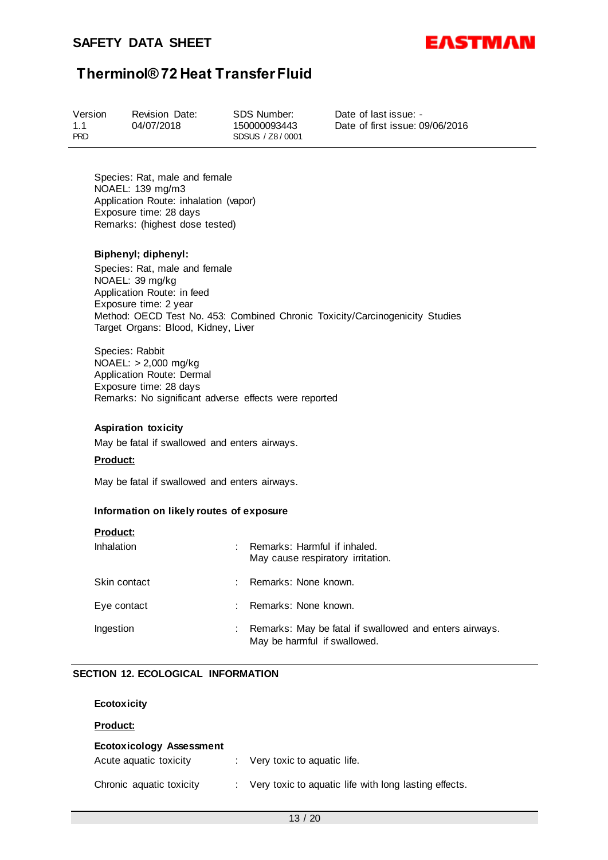

| Version           | <b>Revision Date:</b> | SDS Number:                     |
|-------------------|-----------------------|---------------------------------|
| 1.1<br><b>PRD</b> | 04/07/2018            | 150000093443<br>SDSUS / Z8/0001 |

Date of last issue: - Date of first issue: 09/06/2016

Species: Rat, male and female NOAEL: 139 mg/m3 Application Route: inhalation (vapor) Exposure time: 28 days Remarks: (highest dose tested)

#### **Biphenyl; diphenyl:**

Species: Rat, male and female NOAEL: 39 mg/kg Application Route: in feed Exposure time: 2 year Method: OECD Test No. 453: Combined Chronic Toxicity/Carcinogenicity Studies Target Organs: Blood, Kidney, Liver

Species: Rabbit NOAEL: > 2,000 mg/kg Application Route: Dermal Exposure time: 28 days Remarks: No significant adverse effects were reported

#### **Aspiration toxicity**

May be fatal if swallowed and enters airways.

#### **Product:**

**Product:**

May be fatal if swallowed and enters airways.

#### **Information on likely routes of exposure**

| Product:          |    |                                                                                        |
|-------------------|----|----------------------------------------------------------------------------------------|
| <b>Inhalation</b> |    | Remarks: Harmful if inhaled.<br>May cause respiratory irritation.                      |
| Skin contact      |    | Remarks: None known.                                                                   |
| Eye contact       | ÷. | Remarks: None known.                                                                   |
| Ingestion         |    | Remarks: May be fatal if swallowed and enters airways.<br>May be harmful if swallowed. |

#### **SECTION 12. ECOLOGICAL INFORMATION**

| <b>Ecotoxicity</b>                                 |    |                                                         |
|----------------------------------------------------|----|---------------------------------------------------------|
| <b>Product:</b>                                    |    |                                                         |
| Ecotoxicology Assessment<br>Acute aguatic toxicity | ÷. | Very toxic to aquatic life.                             |
| Chronic aquatic toxicity                           |    | : Very toxic to aquatic life with long lasting effects. |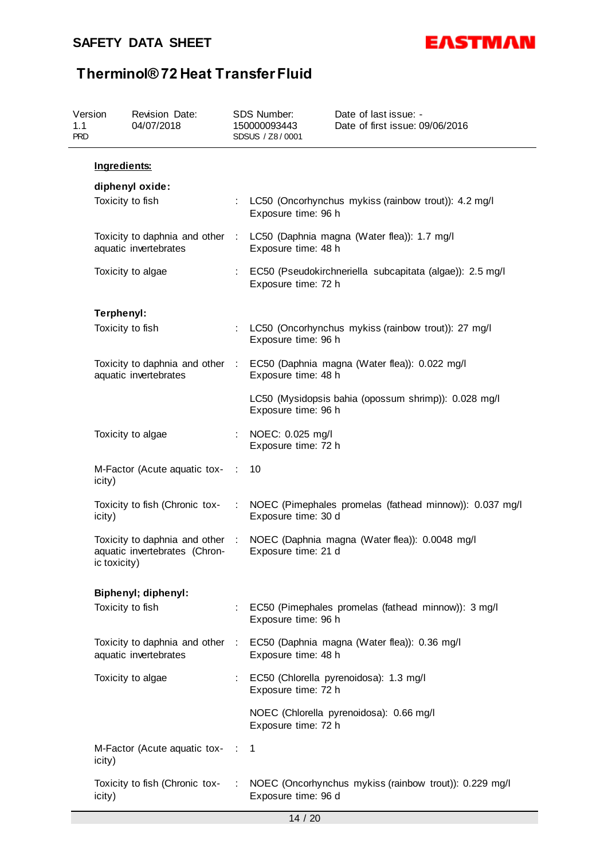

| Version<br>1.1<br><b>PRD</b> |              | Revision Date:<br>04/07/2018                                     |           | SDS Number:<br>150000093443<br>SDSUS / Z8/0001 | Date of last issue: -<br>Date of first issue: 09/06/2016                      |
|------------------------------|--------------|------------------------------------------------------------------|-----------|------------------------------------------------|-------------------------------------------------------------------------------|
|                              | Ingredients: |                                                                  |           |                                                |                                                                               |
|                              |              | diphenyl oxide:                                                  |           |                                                |                                                                               |
|                              |              | Toxicity to fish                                                 |           | Exposure time: 96 h                            | : LC50 (Oncorhynchus mykiss (rainbow trout)): 4.2 mg/l                        |
|                              |              | Toxicity to daphnia and other :<br>aquatic invertebrates         |           | Exposure time: 48 h                            | LC50 (Daphnia magna (Water flea)): 1.7 mg/l                                   |
|                              |              | Toxicity to algae                                                |           | Exposure time: 72 h                            | : EC50 (Pseudokirchneriella subcapitata (algae)): 2.5 mg/l                    |
|                              |              |                                                                  |           |                                                |                                                                               |
|                              | Terphenyl:   |                                                                  |           |                                                |                                                                               |
|                              |              | Toxicity to fish                                                 | t.        | Exposure time: 96 h                            | LC50 (Oncorhynchus mykiss (rainbow trout)): 27 mg/l                           |
|                              |              | aquatic invertebrates                                            |           | Exposure time: 48 h                            | Toxicity to daphnia and other : EC50 (Daphnia magna (Water flea)): 0.022 mg/l |
|                              |              |                                                                  |           | Exposure time: 96 h                            | LC50 (Mysidopsis bahia (opossum shrimp)): 0.028 mg/l                          |
|                              |              | Toxicity to algae                                                |           | NOEC: 0.025 mg/l<br>Exposure time: 72 h        |                                                                               |
|                              | icity)       | M-Factor (Acute aquatic tox-                                     | ÷         | 10                                             |                                                                               |
|                              | icity)       | Toxicity to fish (Chronic tox-                                   |           | Exposure time: 30 d                            | NOEC (Pimephales promelas (fathead minnow)): 0.037 mg/l                       |
|                              | ic toxicity) | Toxicity to daphnia and other :<br>aquatic invertebrates (Chron- |           | Exposure time: 21 d                            | NOEC (Daphnia magna (Water flea)): 0.0048 mg/l                                |
|                              |              |                                                                  |           |                                                |                                                                               |
|                              |              | <b>Biphenyl; diphenyl:</b><br>Toxicity to fish                   |           | Exposure time: 96 h                            | EC50 (Pimephales promelas (fathead minnow)): 3 mg/l                           |
|                              |              | Toxicity to daphnia and other :<br>aquatic invertebrates         |           | Exposure time: 48 h                            | EC50 (Daphnia magna (Water flea)): 0.36 mg/l                                  |
|                              |              | Toxicity to algae                                                |           | Exposure time: 72 h                            | EC50 (Chlorella pyrenoidosa): 1.3 mg/l                                        |
|                              |              |                                                                  |           | Exposure time: 72 h                            | NOEC (Chlorella pyrenoidosa): 0.66 mg/l                                       |
|                              | icity)       | M-Factor (Acute aquatic tox-                                     | $\sim$ 10 | 1                                              |                                                                               |
|                              | icity)       | Toxicity to fish (Chronic tox-                                   |           | Exposure time: 96 d                            | NOEC (Oncorhynchus mykiss (rainbow trout)): 0.229 mg/l                        |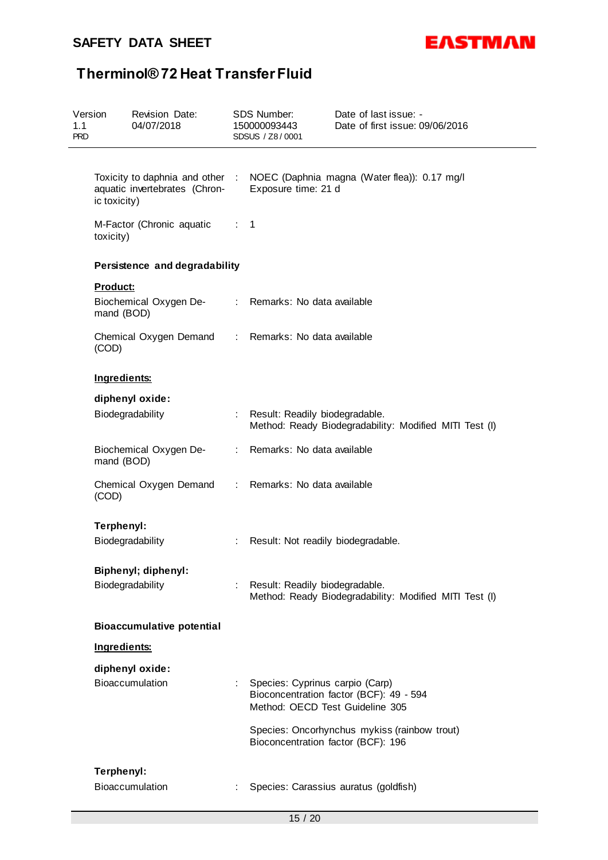

| Version<br>1.1<br><b>PRD</b> |              | <b>Revision Date:</b><br>04/07/2018                 |                           | <b>SDS Number:</b><br>150000093443<br>SDSUS / Z8/0001              | Date of last issue: -<br>Date of first issue: 09/06/2016                     |
|------------------------------|--------------|-----------------------------------------------------|---------------------------|--------------------------------------------------------------------|------------------------------------------------------------------------------|
|                              |              |                                                     |                           |                                                                    |                                                                              |
|                              | ic toxicity) | aquatic invertebrates (Chron-                       |                           | Exposure time: 21 d                                                | Toxicity to daphnia and other : NOEC (Daphnia magna (Water flea)): 0.17 mg/l |
|                              | toxicity)    | M-Factor (Chronic aquatic : 1                       |                           |                                                                    |                                                                              |
|                              |              | Persistence and degradability                       |                           |                                                                    |                                                                              |
|                              | Product:     |                                                     |                           |                                                                    |                                                                              |
|                              | mand (BOD)   | Biochemical Oxygen De-                              |                           | : Remarks: No data available                                       |                                                                              |
|                              | (COD)        | Chemical Oxygen Demand : Remarks: No data available |                           |                                                                    |                                                                              |
|                              | Ingredients: |                                                     |                           |                                                                    |                                                                              |
|                              |              | diphenyl oxide:                                     |                           |                                                                    |                                                                              |
|                              |              | Biodegradability                                    |                           | : Result: Readily biodegradable.                                   | Method: Ready Biodegradability: Modified MITI Test (I)                       |
|                              | mand (BOD)   | Biochemical Oxygen De-                              |                           | : Remarks: No data available                                       |                                                                              |
|                              | (COD)        | Chemical Oxygen Demand                              |                           | : Remarks: No data available                                       |                                                                              |
|                              | Terphenyl:   |                                                     |                           |                                                                    |                                                                              |
|                              |              | Biodegradability                                    | t.                        | Result: Not readily biodegradable.                                 |                                                                              |
|                              |              | Biphenyl; diphenyl:                                 |                           |                                                                    |                                                                              |
|                              |              | Biodegradability                                    |                           | : Result: Readily biodegradable.                                   | Method: Ready Biodegradability: Modified MITI Test (I)                       |
|                              |              | <b>Bioaccumulative potential</b>                    |                           |                                                                    |                                                                              |
|                              | Ingredients: |                                                     |                           |                                                                    |                                                                              |
|                              |              | diphenyl oxide:                                     |                           |                                                                    |                                                                              |
|                              |              | Bioaccumulation                                     | $\mathbb{R}^{\mathbb{Z}}$ | Species: Cyprinus carpio (Carp)<br>Method: OECD Test Guideline 305 | Bioconcentration factor (BCF): 49 - 594                                      |
|                              |              |                                                     |                           | Bioconcentration factor (BCF): 196                                 | Species: Oncorhynchus mykiss (rainbow trout)                                 |
|                              | Terphenyl:   |                                                     |                           |                                                                    |                                                                              |
|                              |              | Bioaccumulation                                     | ÷                         |                                                                    | Species: Carassius auratus (goldfish)                                        |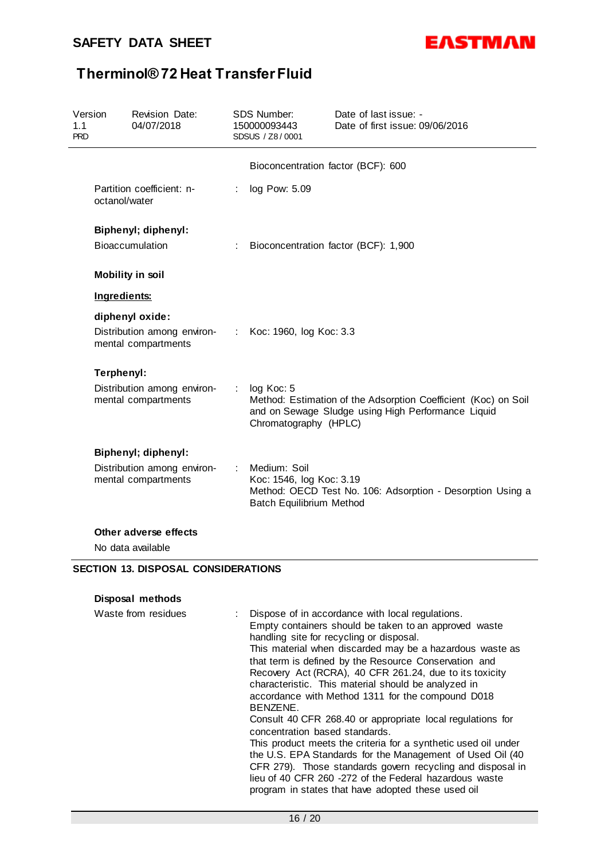

| Version<br>1.1<br><b>PRD</b> | Revision Date:<br>04/07/2018                                               |    | <b>SDS Number:</b><br>150000093443<br>SDSUS / Z8/0001                | Date of last issue: -<br>Date of first issue: 09/06/2016                                                                                                                                                                                                                                                                                                                                                                                                                                                                                                                                                                                                                                                     |
|------------------------------|----------------------------------------------------------------------------|----|----------------------------------------------------------------------|--------------------------------------------------------------------------------------------------------------------------------------------------------------------------------------------------------------------------------------------------------------------------------------------------------------------------------------------------------------------------------------------------------------------------------------------------------------------------------------------------------------------------------------------------------------------------------------------------------------------------------------------------------------------------------------------------------------|
|                              |                                                                            |    | Bioconcentration factor (BCF): 600                                   |                                                                                                                                                                                                                                                                                                                                                                                                                                                                                                                                                                                                                                                                                                              |
|                              | Partition coefficient: n-<br>octanol/water                                 | ÷. | log Pow: 5.09                                                        |                                                                                                                                                                                                                                                                                                                                                                                                                                                                                                                                                                                                                                                                                                              |
|                              | <b>Biphenyl</b> ; diphenyl:<br>Bioaccumulation                             |    |                                                                      | Bioconcentration factor (BCF): 1,900                                                                                                                                                                                                                                                                                                                                                                                                                                                                                                                                                                                                                                                                         |
|                              | <b>Mobility in soil</b>                                                    |    |                                                                      |                                                                                                                                                                                                                                                                                                                                                                                                                                                                                                                                                                                                                                                                                                              |
|                              | Ingredients:                                                               |    |                                                                      |                                                                                                                                                                                                                                                                                                                                                                                                                                                                                                                                                                                                                                                                                                              |
|                              | diphenyl oxide:<br>Distribution among environ-<br>:<br>mental compartments |    | Koc: 1960, log Koc: 3.3                                              |                                                                                                                                                                                                                                                                                                                                                                                                                                                                                                                                                                                                                                                                                                              |
|                              | Terphenyl:                                                                 |    |                                                                      |                                                                                                                                                                                                                                                                                                                                                                                                                                                                                                                                                                                                                                                                                                              |
|                              | Distribution among environ-<br>mental compartments                         |    | log Koc: 5<br>Chromatography (HPLC)                                  | Method: Estimation of the Adsorption Coefficient (Koc) on Soil<br>and on Sewage Sludge using High Performance Liquid                                                                                                                                                                                                                                                                                                                                                                                                                                                                                                                                                                                         |
|                              | <b>Biphenyl</b> ; diphenyl:                                                |    |                                                                      |                                                                                                                                                                                                                                                                                                                                                                                                                                                                                                                                                                                                                                                                                                              |
|                              | Distribution among environ-<br>mental compartments                         |    | Medium: Soil<br>Koc: 1546, log Koc: 3.19<br>Batch Equilibrium Method | Method: OECD Test No. 106: Adsorption - Desorption Using a                                                                                                                                                                                                                                                                                                                                                                                                                                                                                                                                                                                                                                                   |
|                              | Other adverse effects                                                      |    |                                                                      |                                                                                                                                                                                                                                                                                                                                                                                                                                                                                                                                                                                                                                                                                                              |
|                              | No data available                                                          |    |                                                                      |                                                                                                                                                                                                                                                                                                                                                                                                                                                                                                                                                                                                                                                                                                              |
|                              | <b>SECTION 13. DISPOSAL CONSIDERATIONS</b>                                 |    |                                                                      |                                                                                                                                                                                                                                                                                                                                                                                                                                                                                                                                                                                                                                                                                                              |
|                              | Disposal methods                                                           |    |                                                                      |                                                                                                                                                                                                                                                                                                                                                                                                                                                                                                                                                                                                                                                                                                              |
|                              | Waste from residues                                                        |    | BENZENE.<br>concentration based standards.                           | Dispose of in accordance with local regulations.<br>Empty containers should be taken to an approved waste<br>handling site for recycling or disposal.<br>This material when discarded may be a hazardous waste as<br>that term is defined by the Resource Conservation and<br>Recovery Act (RCRA), 40 CFR 261.24, due to its toxicity<br>characteristic. This material should be analyzed in<br>accordance with Method 1311 for the compound D018<br>Consult 40 CFR 268.40 or appropriate local regulations for<br>This product meets the criteria for a synthetic used oil under<br>the U.S. EPA Standards for the Management of Used Oil (40<br>CFR 279). Those standards govern recycling and disposal in |

lieu of 40 CFR 260 -272 of the Federal hazardous waste program in states that have adopted these used oil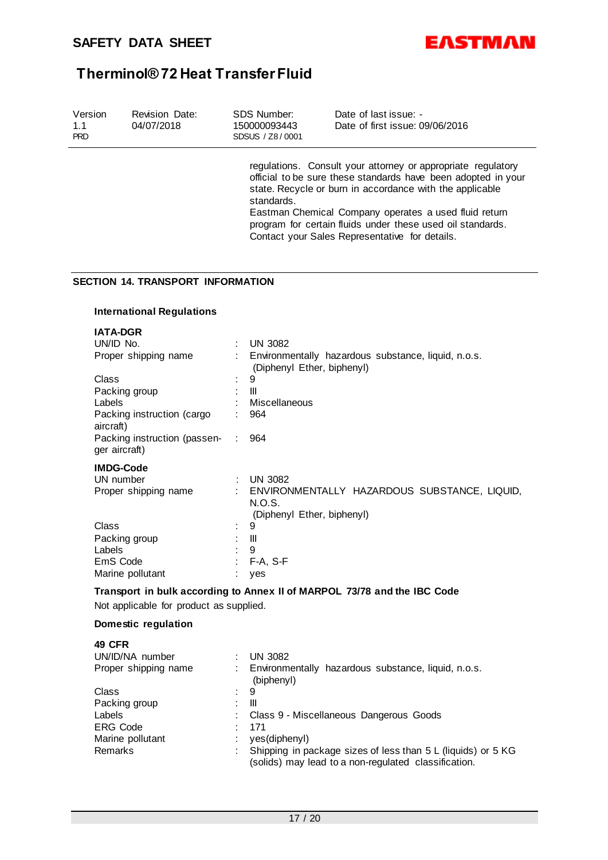

| Version<br>1.1<br><b>PRD</b> |                         | Revision Date:<br>04/07/2018             |   | SDS Number:<br>150000093443<br>SDSUS / Z8/0001 | Date of last issue: -<br>Date of first issue: 09/06/2016                                                                                                                                                                                                                                                                                                           |
|------------------------------|-------------------------|------------------------------------------|---|------------------------------------------------|--------------------------------------------------------------------------------------------------------------------------------------------------------------------------------------------------------------------------------------------------------------------------------------------------------------------------------------------------------------------|
|                              |                         |                                          |   | standards.                                     | regulations. Consult your attorney or appropriate regulatory<br>official to be sure these standards have been adopted in your<br>state. Recycle or burn in accordance with the applicable<br>Eastman Chemical Company operates a used fluid return<br>program for certain fluids under these used oil standards.<br>Contact your Sales Representative for details. |
|                              |                         | <b>SECTION 14. TRANSPORT INFORMATION</b> |   |                                                |                                                                                                                                                                                                                                                                                                                                                                    |
|                              |                         | <b>International Regulations</b>         |   |                                                |                                                                                                                                                                                                                                                                                                                                                                    |
|                              | <b>IATA-DGR</b>         |                                          |   |                                                |                                                                                                                                                                                                                                                                                                                                                                    |
|                              | UN/ID No.               |                                          |   | <b>UN 3082</b>                                 |                                                                                                                                                                                                                                                                                                                                                                    |
|                              |                         | Proper shipping name                     |   | (Diphenyl Ether, biphenyl)                     | Environmentally hazardous substance, liquid, n.o.s.                                                                                                                                                                                                                                                                                                                |
|                              | Class                   |                                          |   | 9                                              |                                                                                                                                                                                                                                                                                                                                                                    |
|                              | Packing group<br>Labels |                                          |   | Ш<br>Miscellaneous                             |                                                                                                                                                                                                                                                                                                                                                                    |
|                              | aircraft)               | Packing instruction (cargo               |   | 964                                            |                                                                                                                                                                                                                                                                                                                                                                    |
|                              | ger aircraft)           | Packing instruction (passen-             | ÷ | 964                                            |                                                                                                                                                                                                                                                                                                                                                                    |
|                              | <b>IMDG-Code</b>        |                                          |   |                                                |                                                                                                                                                                                                                                                                                                                                                                    |
|                              | UN number               | Proper shipping name                     |   | <b>UN 3082</b><br>N.O.S.                       | ENVIRONMENTALLY HAZARDOUS SUBSTANCE, LIQUID,                                                                                                                                                                                                                                                                                                                       |
|                              | Class                   |                                          |   | (Diphenyl Ether, biphenyl)<br>9                |                                                                                                                                                                                                                                                                                                                                                                    |
|                              | Packing group           |                                          |   | Ш                                              |                                                                                                                                                                                                                                                                                                                                                                    |
|                              | Labels                  |                                          |   | 9                                              |                                                                                                                                                                                                                                                                                                                                                                    |
|                              | EmS Code                |                                          |   | F-A, S-F                                       |                                                                                                                                                                                                                                                                                                                                                                    |
|                              |                         | Marine pollutant                         |   | : yes                                          |                                                                                                                                                                                                                                                                                                                                                                    |
|                              |                         | Not applicable for product as supplied.  |   |                                                | Transport in bulk according to Annex II of MARPOL 73/78 and the IBC Code                                                                                                                                                                                                                                                                                           |
|                              |                         |                                          |   |                                                |                                                                                                                                                                                                                                                                                                                                                                    |
|                              |                         | Domestic regulation                      |   |                                                |                                                                                                                                                                                                                                                                                                                                                                    |
|                              | <b>49 CFR</b>           |                                          |   |                                                |                                                                                                                                                                                                                                                                                                                                                                    |
|                              |                         | UN/ID/NA number<br>Proper shipping name  |   | <b>UN 3082</b>                                 | Environmentally hazardous substance, liquid, n.o.s.                                                                                                                                                                                                                                                                                                                |
|                              | Class                   |                                          |   | (biphenyl)<br>9                                |                                                                                                                                                                                                                                                                                                                                                                    |
|                              | Packing group           |                                          |   | Ш                                              |                                                                                                                                                                                                                                                                                                                                                                    |
|                              | Labels                  |                                          |   |                                                | Class 9 - Miscellaneous Dangerous Goods                                                                                                                                                                                                                                                                                                                            |
|                              | <b>ERG Code</b>         |                                          |   | 171                                            |                                                                                                                                                                                                                                                                                                                                                                    |
|                              |                         | Marine pollutant                         |   | yes(diphenyl)                                  |                                                                                                                                                                                                                                                                                                                                                                    |
|                              | Remarks                 |                                          |   |                                                | Shipping in package sizes of less than 5 L (liquids) or 5 KG<br>(solids) may lead to a non-regulated classification.                                                                                                                                                                                                                                               |
|                              |                         |                                          |   |                                                |                                                                                                                                                                                                                                                                                                                                                                    |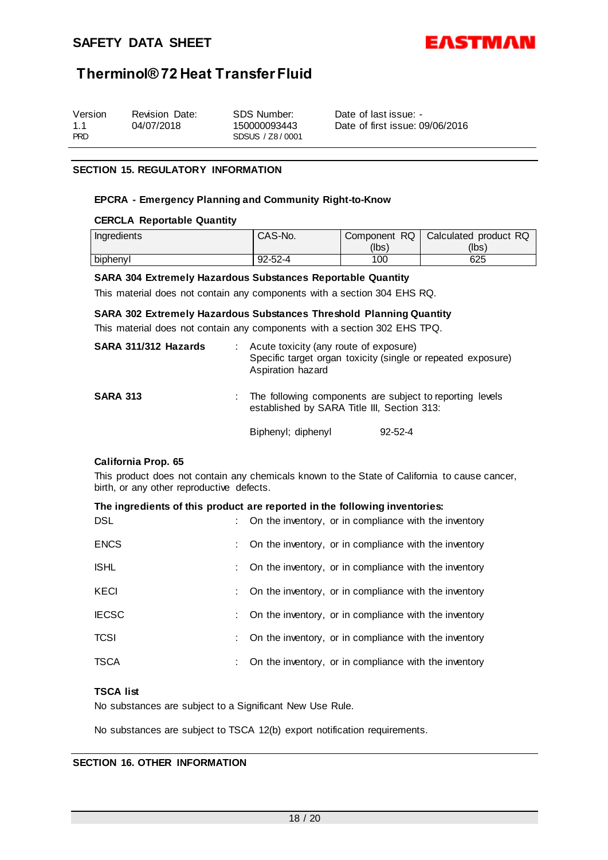

| Version<br>Revision Date:<br>04/07/2018<br>1.1<br><b>PRD</b> | SDS Number:<br>150000093443<br>SDSUS / Z8/0001 | Date of last issue: -<br>Date of first issue: 09/06/2016 |
|--------------------------------------------------------------|------------------------------------------------|----------------------------------------------------------|
|--------------------------------------------------------------|------------------------------------------------|----------------------------------------------------------|

#### **SECTION 15. REGULATORY INFORMATION**

#### **EPCRA - Emergency Planning and Community Right-to-Know**

#### **CERCLA Reportable Quantity**

| Ingredients | CAS-No.       | Component RQ | Calculated product RQ |
|-------------|---------------|--------------|-----------------------|
|             |               | (lbs)        | (lbs)                 |
| biphenyl    | $92 - 52 - 4$ | 100          | 625                   |

#### **SARA 304 Extremely Hazardous Substances Reportable Quantity**

This material does not contain any components with a section 304 EHS RQ.

#### **SARA 302 Extremely Hazardous Substances Threshold Planning Quantity**

This material does not contain any components with a section 302 EHS TPQ.

| SARA 311/312 Hazards |                                                                                                           | Acute toxicity (any route of exposure)<br>Aspiration hazard | Specific target organ toxicity (single or repeated exposure) |
|----------------------|-----------------------------------------------------------------------------------------------------------|-------------------------------------------------------------|--------------------------------------------------------------|
| <b>SARA 313</b>      | : The following components are subject to reporting levels<br>established by SARA Title III, Section 313: |                                                             |                                                              |
|                      |                                                                                                           | Biphenyl; diphenyl                                          | $92 - 52 - 4$                                                |

#### **California Prop. 65**

This product does not contain any chemicals known to the State of California to cause cancer, birth, or any other reproductive defects.

| The ingredients of this product are reported in the following inventories: |  |                                                         |  |  |  |
|----------------------------------------------------------------------------|--|---------------------------------------------------------|--|--|--|
| DSL                                                                        |  | : On the inventory, or in compliance with the inventory |  |  |  |
| <b>ENCS</b>                                                                |  | : On the inventory, or in compliance with the inventory |  |  |  |
| <b>ISHL</b>                                                                |  | : On the inventory, or in compliance with the inventory |  |  |  |

| KECI         | : On the inventory, or in compliance with the inventory            |
|--------------|--------------------------------------------------------------------|
| <b>IECSC</b> | $\therefore$ On the inventory, or in compliance with the inventory |
| TCSI         | : On the inventory, or in compliance with the inventory            |

#### TSCA : Con the inventory, or in compliance with the inventory

### **TSCA list**

No substances are subject to a Significant New Use Rule.

No substances are subject to TSCA 12(b) export notification requirements.

### **SECTION 16. OTHER INFORMATION**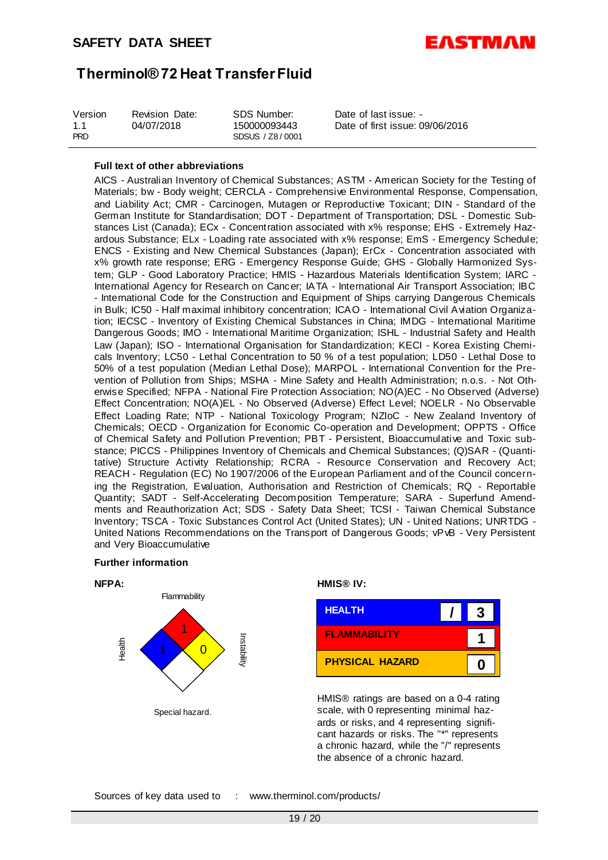

#### **Full text of other abbreviations**

AICS - Australian Inventory of Chemical Substances; ASTM - American Society for the Testing of Materials; bw - Body weight; CERCLA - Comprehensive Environmental Response, Compensation, and Liability Act; CMR - Carcinogen, Mutagen or Reproductive Toxicant; DIN - Standard of the German Institute for Standardisation; DOT - Department of Transportation; DSL - Domestic Substances List (Canada); ECx - Concentration associated with x% response; EHS - Extremely Hazardous Substance; ELx - Loading rate associated with x% response; EmS - Emergency Schedule; ENCS - Existing and New Chemical Substances (Japan); ErCx - Concentration associated with x% growth rate response; ERG - Emergency Response Guide; GHS - Globally Harmonized System; GLP - Good Laboratory Practice; HMIS - Hazardous Materials Identification System; IARC - International Agency for Research on Cancer; IATA - International Air Transport Association; IBC - International Code for the Construction and Equipment of Ships carrying Dangerous Chemicals in Bulk; IC50 - Half maximal inhibitory concentration; ICAO - International Civil Aviation Organization; IECSC - Inventory of Existing Chemical Substances in China; IMDG - International Maritime Dangerous Goods; IMO - International Maritime Organization; ISHL - Industrial Safety and Health Law (Japan); ISO - International Organisation for Standardization; KECI - Korea Existing Chemicals Inventory; LC50 - Lethal Concentration to 50 % of a test population; LD50 - Lethal Dose to 50% of a test population (Median Lethal Dose); MARPOL - International Convention for the Prevention of Pollution from Ships; MSHA - Mine Safety and Health Administration; n.o.s. - Not Otherwise Specified; NFPA - National Fire Protection Association; NO(A)EC - No Observed (Adverse) Effect Concentration; NO(A)EL - No Observed (Adverse) Effect Level; NOELR - No Observable Effect Loading Rate; NTP - National Toxicology Program; NZIoC - New Zealand Inventory of Chemicals; OECD - Organization for Economic Co-operation and Development; OPPTS - Office of Chemical Safety and Pollution Prevention; PBT - Persistent, Bioaccumulative and Toxic substance; PICCS - Philippines Inventory of Chemicals and Chemical Substances; (Q)SAR - (Quantitative) Structure Activity Relationship; RCRA - Resource Conservation and Recovery Act; REACH - Regulation (EC) No 1907/2006 of the European Parliament and of the Council concerning the Registration, Evaluation, Authorisation and Restriction of Chemicals; RQ - Reportable Quantity; SADT - Self-Accelerating Decomposition Temperature; SARA - Superfund Amendments and Reauthorization Act; SDS - Safety Data Sheet; TCSI - Taiwan Chemical Substance Inventory; TSCA - Toxic Substances Control Act (United States); UN - United Nations; UNRTDG - United Nations Recommendations on the Transport of Dangerous Goods; vPvB - Very Persistent and Very Bioaccumulative

#### **Further information**



| <b>HEALTH</b>          |   |
|------------------------|---|
| <b>FLAMMABILITY</b>    |   |
| <b>PHYSICAL HAZARD</b> | Ω |

HMIS® ratings are based on a 0-4 rating scale, with 0 representing minimal hazards or risks, and 4 representing significant hazards or risks. The "\*" represents a chronic hazard, while the "/" represents the absence of a chronic hazard.

Sources of key data used to : www.therminol.com/products/